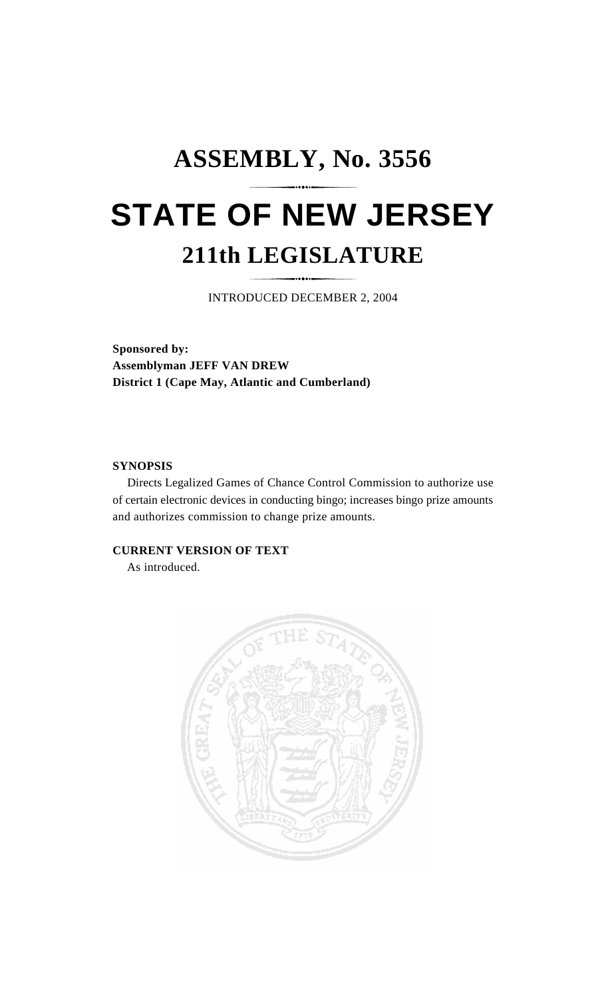## **ASSEMBLY, No. 3556 STATE OF NEW JERSEY 211th LEGISLATURE**

INTRODUCED DECEMBER 2, 2004

**Sponsored by: Assemblyman JEFF VAN DREW District 1 (Cape May, Atlantic and Cumberland)**

## **SYNOPSIS**

Directs Legalized Games of Chance Control Commission to authorize use of certain electronic devices in conducting bingo; increases bingo prize amounts and authorizes commission to change prize amounts.

## **CURRENT VERSION OF TEXT**

As introduced.

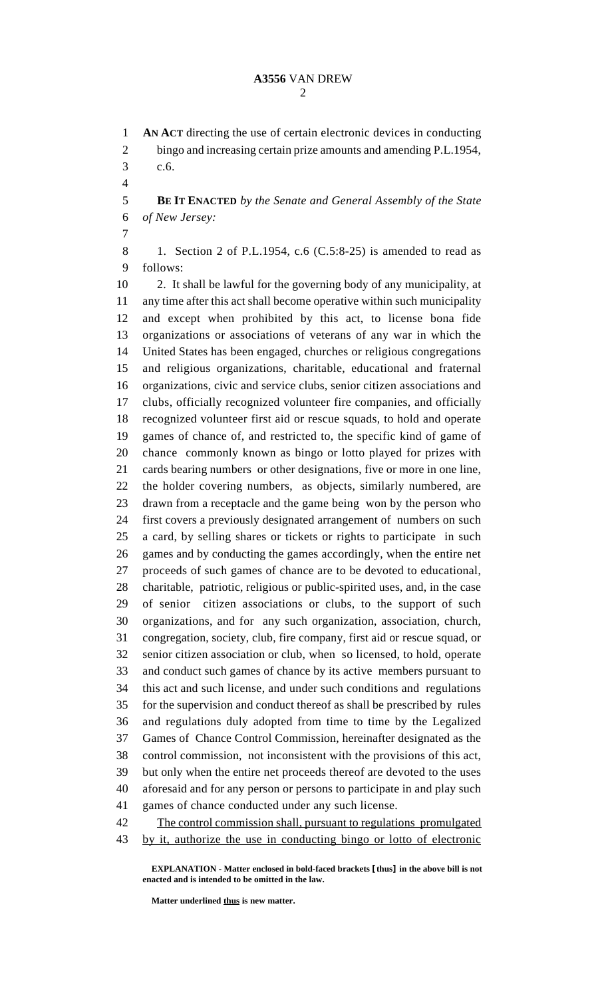**AN ACT** directing the use of certain electronic devices in conducting bingo and increasing certain prize amounts and amending P.L.1954, c.6. **BE IT ENACTED** *by the Senate and General Assembly of the State of New Jersey:* 1. Section 2 of P.L.1954, c.6 (C.5:8-25) is amended to read as follows: 2. It shall be lawful for the governing body of any municipality, at any time after this act shall become operative within such municipality and except when prohibited by this act, to license bona fide organizations or associations of veterans of any war in which the United States has been engaged, churches or religious congregations and religious organizations, charitable, educational and fraternal organizations, civic and service clubs, senior citizen associations and clubs, officially recognized volunteer fire companies, and officially recognized volunteer first aid or rescue squads, to hold and operate games of chance of, and restricted to, the specific kind of game of chance commonly known as bingo or lotto played for prizes with cards bearing numbers or other designations, five or more in one line, the holder covering numbers, as objects, similarly numbered, are drawn from a receptacle and the game being won by the person who first covers a previously designated arrangement of numbers on such a card, by selling shares or tickets or rights to participate in such games and by conducting the games accordingly, when the entire net proceeds of such games of chance are to be devoted to educational, charitable, patriotic, religious or public-spirited uses, and, in the case of senior citizen associations or clubs, to the support of such organizations, and for any such organization, association, church, congregation, society, club, fire company, first aid or rescue squad, or senior citizen association or club, when so licensed, to hold, operate and conduct such games of chance by its active members pursuant to this act and such license, and under such conditions and regulations for the supervision and conduct thereof as shall be prescribed by rules and regulations duly adopted from time to time by the Legalized Games of Chance Control Commission, hereinafter designated as the control commission, not inconsistent with the provisions of this act, but only when the entire net proceeds thereof are devoted to the uses aforesaid and for any person or persons to participate in and play such games of chance conducted under any such license. 42 The control commission shall, pursuant to regulations promulgated by it, authorize the use in conducting bingo or lotto of electronic

**EXPLANATION - Matter enclosed in bold-faced brackets [thus] in the above bill is not enacted and is intended to be omitted in the law.**

**Matter underlined thus is new matter.**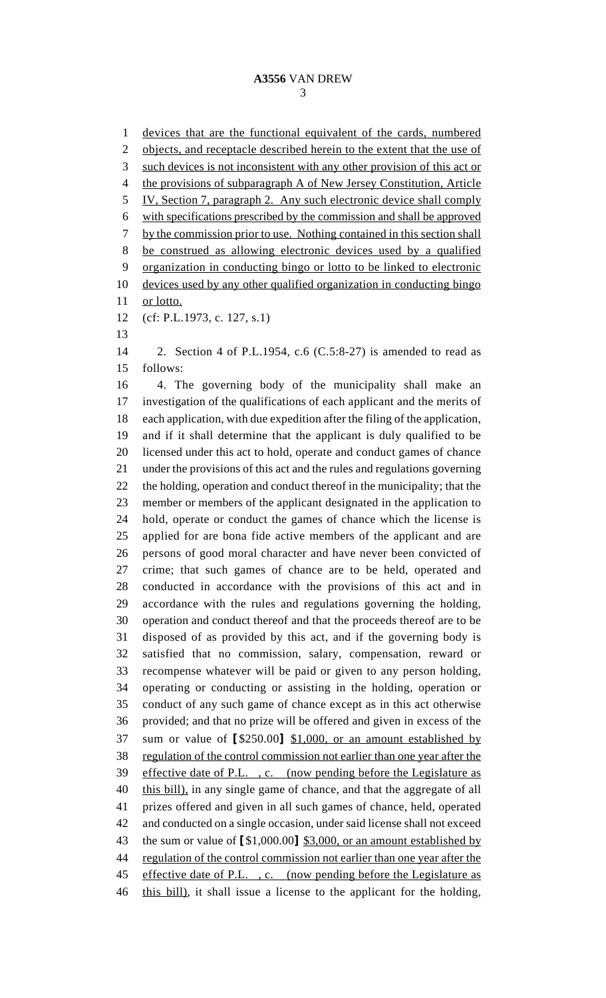devices that are the functional equivalent of the cards, numbered 2 objects, and receptacle described herein to the extent that the use of such devices is not inconsistent with any other provision of this act or the provisions of subparagraph A of New Jersey Constitution, Article IV, Section 7, paragraph 2. Any such electronic device shall comply with specifications prescribed by the commission and shall be approved by the commission prior to use. Nothing contained in this section shall be construed as allowing electronic devices used by a qualified organization in conducting bingo or lotto to be linked to electronic devices used by any other qualified organization in conducting bingo 11 or lotto. (cf: P.L.1973, c. 127, s.1) 2. Section 4 of P.L.1954, c.6 (C.5:8-27) is amended to read as follows: 4. The governing body of the municipality shall make an investigation of the qualifications of each applicant and the merits of each application, with due expedition after the filing of the application, and if it shall determine that the applicant is duly qualified to be licensed under this act to hold, operate and conduct games of chance under the provisions of this act and the rules and regulations governing the holding, operation and conduct thereof in the municipality; that the member or members of the applicant designated in the application to hold, operate or conduct the games of chance which the license is applied for are bona fide active members of the applicant and are persons of good moral character and have never been convicted of crime; that such games of chance are to be held, operated and conducted in accordance with the provisions of this act and in accordance with the rules and regulations governing the holding, operation and conduct thereof and that the proceeds thereof are to be disposed of as provided by this act, and if the governing body is satisfied that no commission, salary, compensation, reward or recompense whatever will be paid or given to any person holding, operating or conducting or assisting in the holding, operation or conduct of any such game of chance except as in this act otherwise provided; and that no prize will be offered and given in excess of the sum or value of **[**\$250.00**]** \$1,000, or an amount established by regulation of the control commission not earlier than one year after the effective date of P.L. , c. (now pending before the Legislature as 40 this bill), in any single game of chance, and that the aggregate of all prizes offered and given in all such games of chance, held, operated and conducted on a single occasion, under said license shall not exceed the sum or value of **[**\$1,000.00**]** \$3,000, or an amount established by regulation of the control commission not earlier than one year after the 45 effective date of P.L., c. (now pending before the Legislature as 46 this bill), it shall issue a license to the applicant for the holding,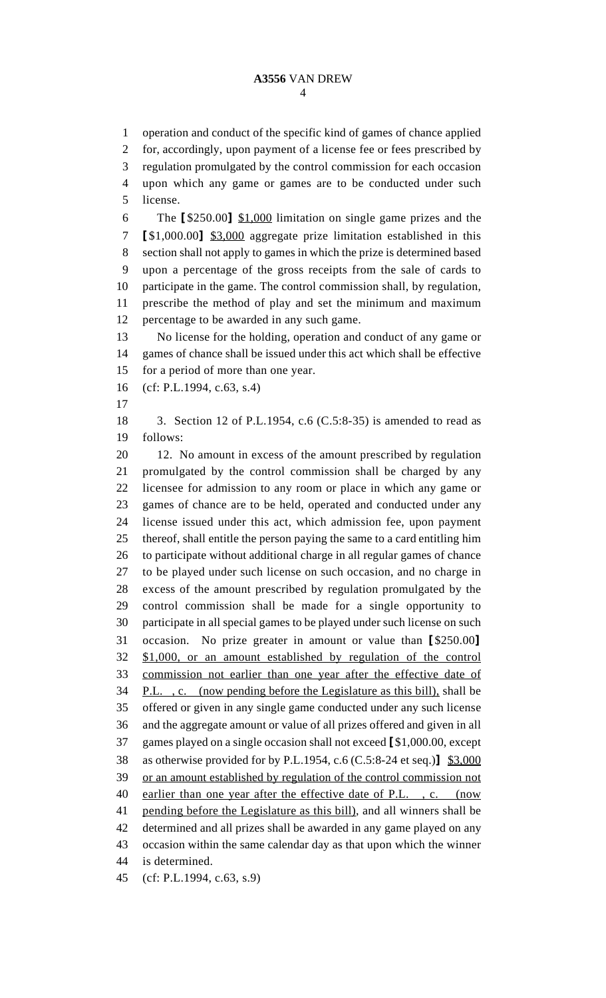operation and conduct of the specific kind of games of chance applied for, accordingly, upon payment of a license fee or fees prescribed by regulation promulgated by the control commission for each occasion upon which any game or games are to be conducted under such license. The **[**\$250.00**]** \$1,000 limitation on single game prizes and the **[**\$1,000.00**]** \$3,000 aggregate prize limitation established in this section shall not apply to games in which the prize is determined based upon a percentage of the gross receipts from the sale of cards to participate in the game. The control commission shall, by regulation, prescribe the method of play and set the minimum and maximum percentage to be awarded in any such game. No license for the holding, operation and conduct of any game or games of chance shall be issued under this act which shall be effective for a period of more than one year. (cf: P.L.1994, c.63, s.4) 3. Section 12 of P.L.1954, c.6 (C.5:8-35) is amended to read as follows: 12. No amount in excess of the amount prescribed by regulation promulgated by the control commission shall be charged by any licensee for admission to any room or place in which any game or games of chance are to be held, operated and conducted under any license issued under this act, which admission fee, upon payment thereof, shall entitle the person paying the same to a card entitling him to participate without additional charge in all regular games of chance to be played under such license on such occasion, and no charge in excess of the amount prescribed by regulation promulgated by the control commission shall be made for a single opportunity to participate in all special games to be played under such license on such occasion. No prize greater in amount or value than **[**\$250.00**]** \$1,000, or an amount established by regulation of the control commission not earlier than one year after the effective date of P.L. , c. (now pending before the Legislature as this bill), shall be offered or given in any single game conducted under any such license and the aggregate amount or value of all prizes offered and given in all games played on a single occasion shall not exceed **[**\$1,000.00, except as otherwise provided for by P.L.1954, c.6 (C.5:8-24 et seq.)**]** \$3,000 or an amount established by regulation of the control commission not 40 earlier than one year after the effective date of P.L., c. (now pending before the Legislature as this bill), and all winners shall be determined and all prizes shall be awarded in any game played on any occasion within the same calendar day as that upon which the winner is determined.

(cf: P.L.1994, c.63, s.9)